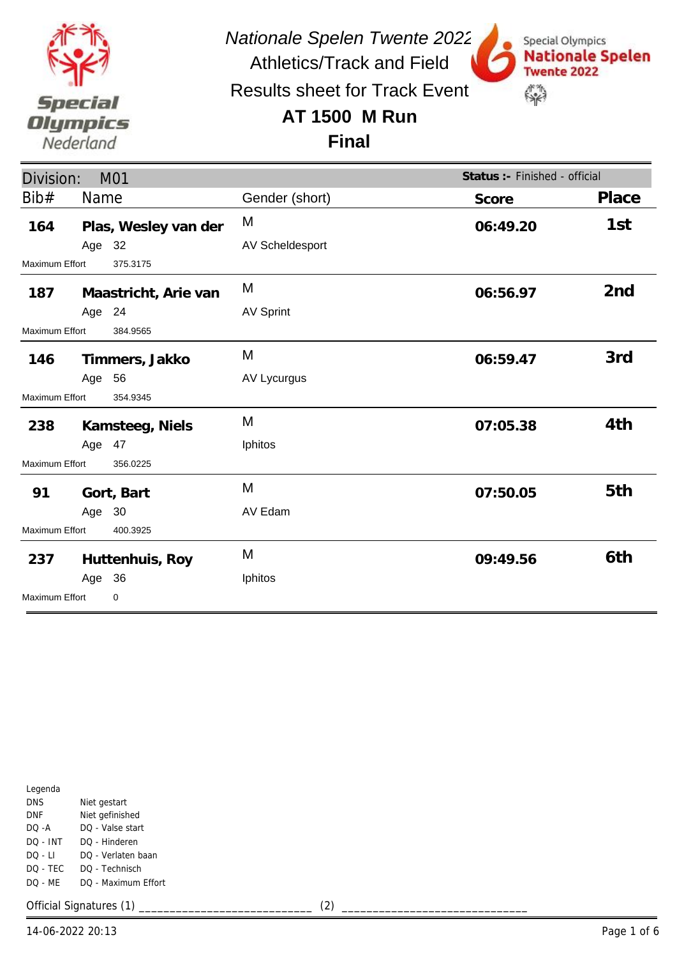

*Nationale Spelen Twente 2022*

Results sheet for Track Event

Athletics/Track and Field

Special Olympics

**Twente 2022** 

\$

**Nationale Spelen** 

## **AT 1500 M Run**



| Division:                  |        | M01                  |                  | Status :- Finished - official |                 |
|----------------------------|--------|----------------------|------------------|-------------------------------|-----------------|
| Bib#                       | Name   |                      | Gender (short)   | Score                         | Place           |
| 164                        |        | Plas, Wesley van der | M                | 06:49.20                      | 1st             |
|                            | Age 32 |                      | AV Scheldesport  |                               |                 |
| Maximum Effort             |        | 375.3175             |                  |                               |                 |
| 187                        |        | Maastricht, Arie van | M                | 06:56.97                      | 2 <sub>nd</sub> |
|                            | Age 24 |                      | <b>AV Sprint</b> |                               |                 |
| <b>Maximum Effort</b>      |        | 384.9565             |                  |                               |                 |
| 146                        |        | Timmers, Jakko       | M                | 06:59.47                      | 3rd             |
|                            | Age 56 |                      | AV Lycurgus      |                               |                 |
| Maximum Effort             |        | 354.9345             |                  |                               |                 |
| 238                        |        | Kamsteeg, Niels      | M                | 07:05.38                      | 4th             |
|                            | Age 47 |                      | Iphitos          |                               |                 |
| Maximum Effort             |        | 356.0225             |                  |                               |                 |
| 91                         |        | Gort, Bart           | M                | 07:50.05                      | 5th             |
|                            | Age 30 |                      | AV Edam          |                               |                 |
| Maximum Effort<br>400.3925 |        |                      |                  |                               |                 |
| 237                        |        | Huttenhuis, Roy      | M                | 09:49.56                      | 6th             |
|                            | Age 36 |                      | Iphitos          |                               |                 |
| Maximum Effort             |        | $\mathbf 0$          |                  |                               |                 |

| Legenda   |                     |
|-----------|---------------------|
| DNS       | Niet gestart        |
| DNF       | Niet gefinished     |
| DO -A     | DO - Valse start    |
| DO - INT  | DO - Hinderen       |
| DO - LI   | DO - Verlaten baan  |
| DO - TEC  | DO - Technisch      |
| $DO - MF$ | DO - Maximum Effort |
|           |                     |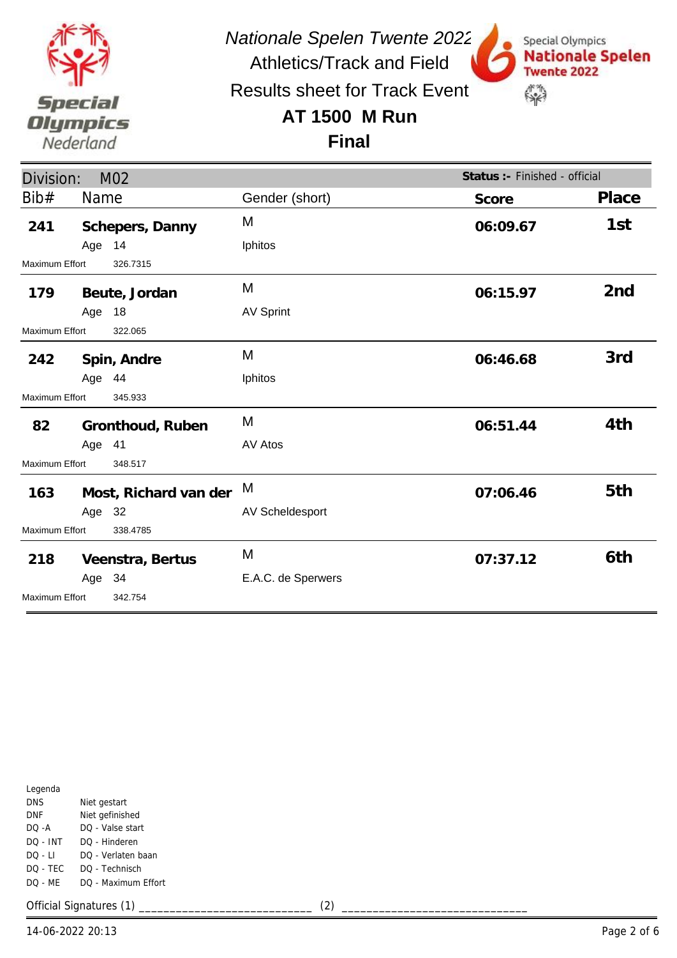

*Nationale Spelen Twente 2022* Athletics/Track and Field

Special Olympics

**Twente 2022** 

\$

**Nationale Spelen** 

Results sheet for Track Event

## **AT 1500 M Run**

#### **Final**

| Division:                  |                       | M <sub>02</sub>  |                    | Status : - Finished - official |                 |
|----------------------------|-----------------------|------------------|--------------------|--------------------------------|-----------------|
| Bib#                       | Name                  |                  | Gender (short)     | Score                          | Place           |
| 241                        |                       | Schepers, Danny  | M                  | 06:09.67                       | 1st             |
|                            | Age 14                |                  | Iphitos            |                                |                 |
| Maximum Effort             |                       | 326.7315         |                    |                                |                 |
| 179                        |                       | Beute, Jordan    | M                  | 06:15.97                       | 2 <sub>nd</sub> |
|                            | Age 18                |                  | <b>AV Sprint</b>   |                                |                 |
| Maximum Effort             |                       | 322.065          |                    |                                |                 |
| 242                        |                       | Spin, Andre      | M                  | 06:46.68                       | 3rd             |
|                            | Age 44                |                  | Iphitos            |                                |                 |
| Maximum Effort             |                       | 345.933          |                    |                                |                 |
| 82                         |                       | Gronthoud, Ruben | M                  | 06:51.44                       | 4th             |
|                            | Age 41                |                  | AV Atos            |                                |                 |
| Maximum Effort             |                       | 348.517          |                    |                                |                 |
| 163                        | Most, Richard van der |                  | M                  | 07:06.46                       | 5th             |
|                            | Age 32                |                  | AV Scheldesport    |                                |                 |
| Maximum Effort<br>338.4785 |                       |                  |                    |                                |                 |
| 218                        |                       | Veenstra, Bertus | M                  | 07:37.12                       | 6th             |
|                            | Age 34                |                  | E.A.C. de Sperwers |                                |                 |
| <b>Maximum Effort</b>      |                       | 342.754          |                    |                                |                 |

| Legenda    |                     |
|------------|---------------------|
| <b>DNS</b> | Niet gestart        |
| DNF        | Niet gefinished     |
| DO -A      | DQ - Valse start    |
| DO - INT   | DO - Hinderen       |
| DO - LI    | DO - Verlaten baan  |
| DO - TEC   | DQ - Technisch      |
| DQ - MF    | DO - Maximum Effort |
|            |                     |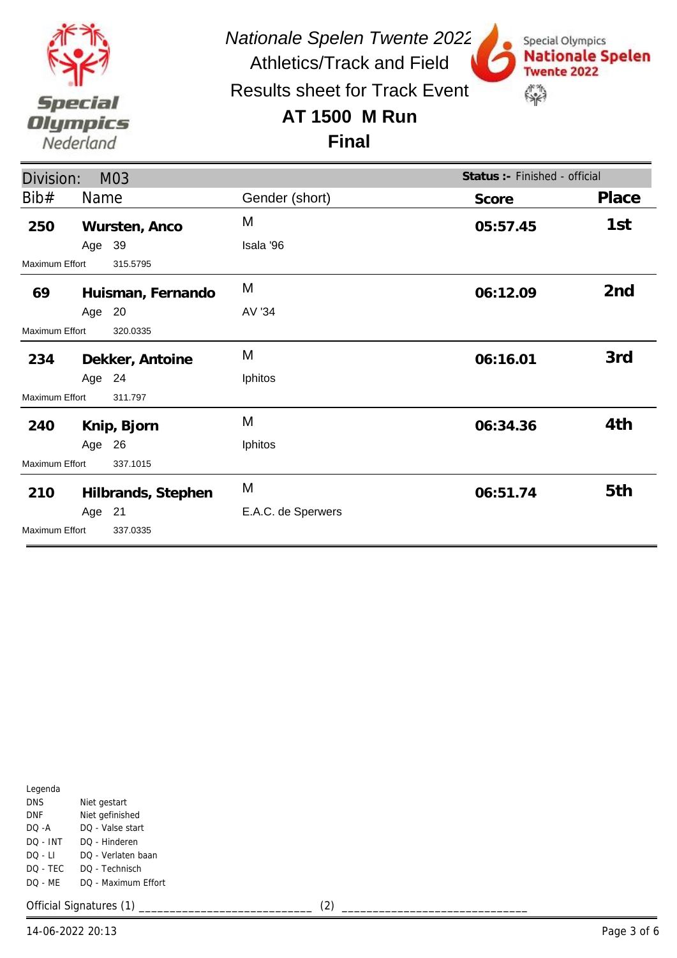

*Nationale Spelen Twente 2022*

Special Olympics

**Twente 2022** 

\$

**Nationale Spelen** 

Athletics/Track and Field Results sheet for Track Event

# **AT 1500 M Run**

#### **Final**

| Division:             |        | M03                |                    | Status :- Finished - official |                 |
|-----------------------|--------|--------------------|--------------------|-------------------------------|-----------------|
| Bib#                  | Name   |                    | Gender (short)     | Score                         | Place           |
| 250                   |        | Wursten, Anco      | M                  | 05:57.45                      | 1st             |
|                       | Age 39 |                    | Isala '96          |                               |                 |
| Maximum Effort        |        | 315.5795           |                    |                               |                 |
| 69                    |        | Huisman, Fernando  | M                  | 06:12.09                      | 2 <sub>nd</sub> |
|                       | Age 20 |                    | AV '34             |                               |                 |
| <b>Maximum Effort</b> |        | 320.0335           |                    |                               |                 |
| 234                   |        | Dekker, Antoine    | M                  | 06:16.01                      | 3rd             |
|                       | Age 24 |                    | Iphitos            |                               |                 |
| Maximum Effort        |        | 311.797            |                    |                               |                 |
| 240                   |        | Knip, Bjorn        | M                  | 06:34.36                      | 4th             |
|                       | Age 26 |                    | Iphitos            |                               |                 |
| Maximum Effort        |        | 337.1015           |                    |                               |                 |
| 210                   |        | Hilbrands, Stephen | M                  | 06:51.74                      | 5th             |
|                       | Age 21 |                    | E.A.C. de Sperwers |                               |                 |
| Maximum Effort        |        | 337.0335           |                    |                               |                 |

| Legenda    |                     |  |  |  |
|------------|---------------------|--|--|--|
| DNS        | Niet gestart        |  |  |  |
| <b>DNF</b> | Niet gefinished     |  |  |  |
| $DO - A$   | DO - Valse start    |  |  |  |
| DO - INT   | DO - Hinderen       |  |  |  |
| DO - LI    | DO - Verlaten baan  |  |  |  |
| DO - TEC   | DO - Technisch      |  |  |  |
| DO - MF    | DO - Maximum Effort |  |  |  |
|            |                     |  |  |  |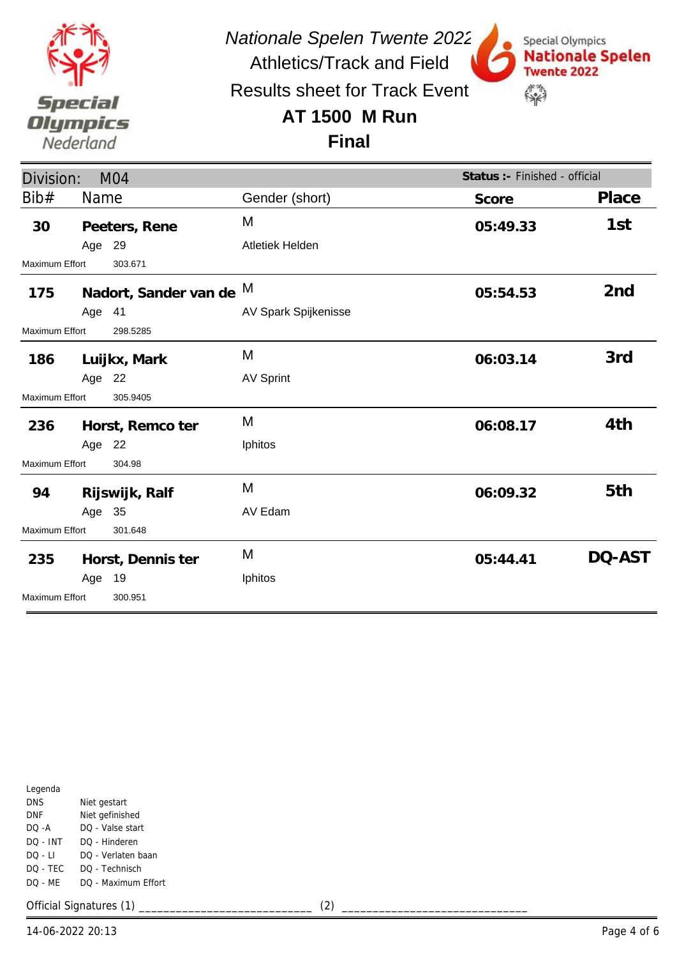

*Nationale Spelen Twente 2022* Athletics/Track and Field

Special Olympics

**Twente 2022** 

\$

**Nationale Spelen** 

Results sheet for Track Event

## **AT 1500 M Run**

**Final**

| Division:                        |        | M <sub>04</sub>         |                      | Status :- Finished - official |                 |
|----------------------------------|--------|-------------------------|----------------------|-------------------------------|-----------------|
| Bib#                             | Name   |                         | Gender (short)       | Score                         | Place           |
| 30                               |        | Peeters, Rene           | M                    | 05:49.33                      | 1st             |
|                                  | Age 29 |                         | Atletiek Helden      |                               |                 |
| Maximum Effort                   |        | 303.671                 |                      |                               |                 |
| 175                              |        | Nadort, Sander van de M |                      | 05:54.53                      | 2 <sub>nd</sub> |
|                                  | Age 41 |                         | AV Spark Spijkenisse |                               |                 |
| Maximum Effort                   |        | 298.5285                |                      |                               |                 |
| 186                              |        | Luijkx, Mark            | M                    | 06:03.14                      | 3rd             |
|                                  | Age 22 |                         | <b>AV Sprint</b>     |                               |                 |
| Maximum Effort                   |        | 305.9405                |                      |                               |                 |
| 236                              |        | Horst, Remco ter        | M                    | 06:08.17                      | 4th             |
|                                  | Age 22 |                         | Iphitos              |                               |                 |
| Maximum Effort                   |        | 304.98                  |                      |                               |                 |
| 94                               |        | Rijswijk, Ralf          | M                    | 06:09.32                      | 5th             |
|                                  | Age 35 |                         | AV Edam              |                               |                 |
| <b>Maximum Effort</b>            |        | 301.648                 |                      |                               |                 |
| 235                              |        | Horst, Dennis ter       | M                    | 05:44.41                      | DQ-AST          |
|                                  | Age    | 19                      | Iphitos              |                               |                 |
| <b>Maximum Effort</b><br>300.951 |        |                         |                      |                               |                 |

| Legenda    |                     |
|------------|---------------------|
| <b>DNS</b> | Niet gestart        |
| DNF        | Niet gefinished     |
| DO -A      | DQ - Valse start    |
| DO - INT   | DO - Hinderen       |
| DO - LI    | DO - Verlaten baan  |
| DO - TEC   | DQ - Technisch      |
| DQ - MF    | DO - Maximum Effort |
|            |                     |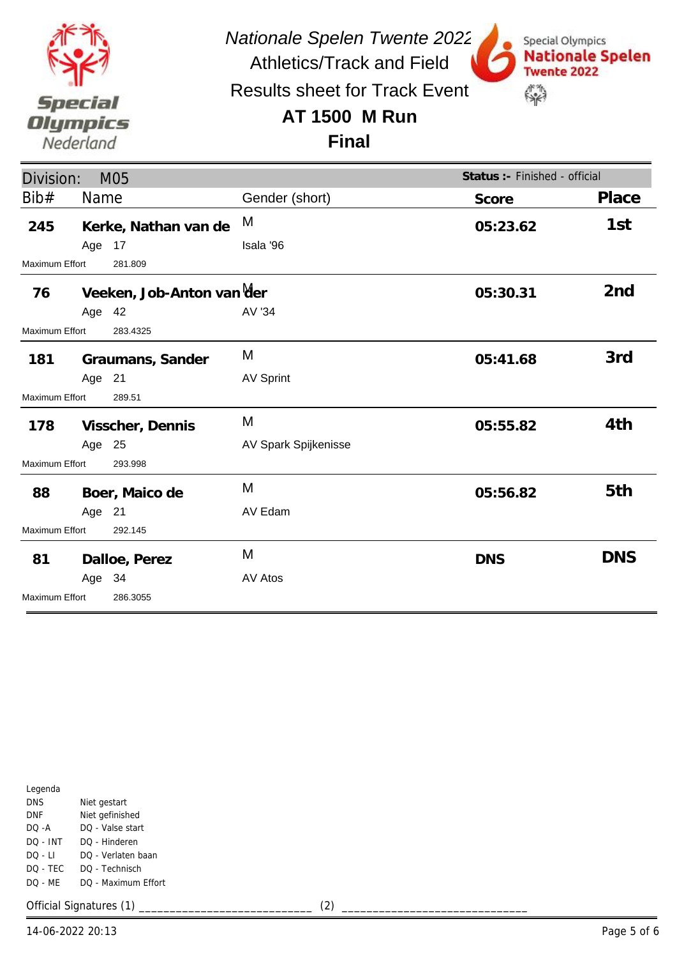

*Nationale Spelen Twente 2022*

Special Olympics

**Twente 2022** 

\$

**Nationale Spelen** 

Athletics/Track and Field Results sheet for Track Event

### **AT 1500 M Run**

**Final**

| Division:                        |        | M05                       |                      | Status :- Finished - official |                 |
|----------------------------------|--------|---------------------------|----------------------|-------------------------------|-----------------|
| Bib#                             | Name   |                           | Gender (short)       | Score                         | Place           |
| 245                              | Age 17 | Kerke, Nathan van de      | M<br>Isala '96       | 05:23.62                      | 1st             |
| <b>Maximum Effort</b>            |        | 281.809                   |                      |                               |                 |
| 76                               | Age 42 | Veeken, Job-Anton van Mer | AV '34               | 05:30.31                      | 2 <sub>nd</sub> |
| Maximum Effort                   |        | 283.4325                  |                      |                               |                 |
| 181                              |        | Graumans, Sander          | M                    | 05:41.68                      | 3rd             |
|                                  | Age 21 |                           | <b>AV Sprint</b>     |                               |                 |
| <b>Maximum Effort</b>            |        | 289.51                    |                      |                               |                 |
| 178                              |        | Visscher, Dennis          | M                    | 05:55.82                      | 4th             |
|                                  | Age 25 |                           | AV Spark Spijkenisse |                               |                 |
| <b>Maximum Effort</b>            |        | 293.998                   |                      |                               |                 |
| 88                               |        | Boer, Maico de            | M                    | 05:56.82                      | 5th             |
|                                  | Age 21 |                           | AV Edam              |                               |                 |
| <b>Maximum Effort</b><br>292.145 |        |                           |                      |                               |                 |
| 81                               |        | Dalloe, Perez             | M                    | <b>DNS</b>                    | <b>DNS</b>      |
|                                  | Age 34 |                           | AV Atos              |                               |                 |
| <b>Maximum Effort</b>            |        | 286.3055                  |                      |                               |                 |

| Legenda    |                     |
|------------|---------------------|
| <b>DNS</b> | Niet gestart        |
| DNF        | Niet gefinished     |
| DO -A      | DQ - Valse start    |
| DO - INT   | DO - Hinderen       |
| $DO - LI$  | DO - Verlaten baan  |
| DO - TEC   | DO - Technisch      |
| DQ - MF    | DO - Maximum Effort |
|            |                     |